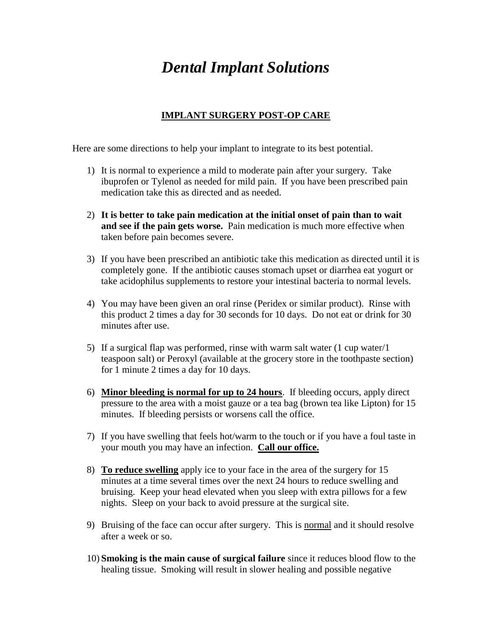## *Dental Implant Solutions*

## **IMPLANT SURGERY POST-OP CARE**

Here are some directions to help your implant to integrate to its best potential.

- 1) It is normal to experience a mild to moderate pain after your surgery. Take ibuprofen or Tylenol as needed for mild pain. If you have been prescribed pain medication take this as directed and as needed.
- 2) **It is better to take pain medication at the initial onset of pain than to wait and see if the pain gets worse.** Pain medication is much more effective when taken before pain becomes severe.
- 3) If you have been prescribed an antibiotic take this medication as directed until it is completely gone. If the antibiotic causes stomach upset or diarrhea eat yogurt or take acidophilus supplements to restore your intestinal bacteria to normal levels.
- 4) You may have been given an oral rinse (Peridex or similar product). Rinse with this product 2 times a day for 30 seconds for 10 days. Do not eat or drink for 30 minutes after use.
- 5) If a surgical flap was performed, rinse with warm salt water (1 cup water/1 teaspoon salt) or Peroxyl (available at the grocery store in the toothpaste section) for 1 minute 2 times a day for 10 days.
- 6) **Minor bleeding is normal for up to 24 hours**. If bleeding occurs, apply direct pressure to the area with a moist gauze or a tea bag (brown tea like Lipton) for 15 minutes. If bleeding persists or worsens call the office.
- 7) If you have swelling that feels hot/warm to the touch or if you have a foul taste in your mouth you may have an infection. **Call our office.**
- 8) **To reduce swelling** apply ice to your face in the area of the surgery for 15 minutes at a time several times over the next 24 hours to reduce swelling and bruising. Keep your head elevated when you sleep with extra pillows for a few nights. Sleep on your back to avoid pressure at the surgical site.
- 9) Bruising of the face can occur after surgery. This is normal and it should resolve after a week or so.
- 10) **Smoking is the main cause of surgical failure** since it reduces blood flow to the healing tissue. Smoking will result in slower healing and possible negative